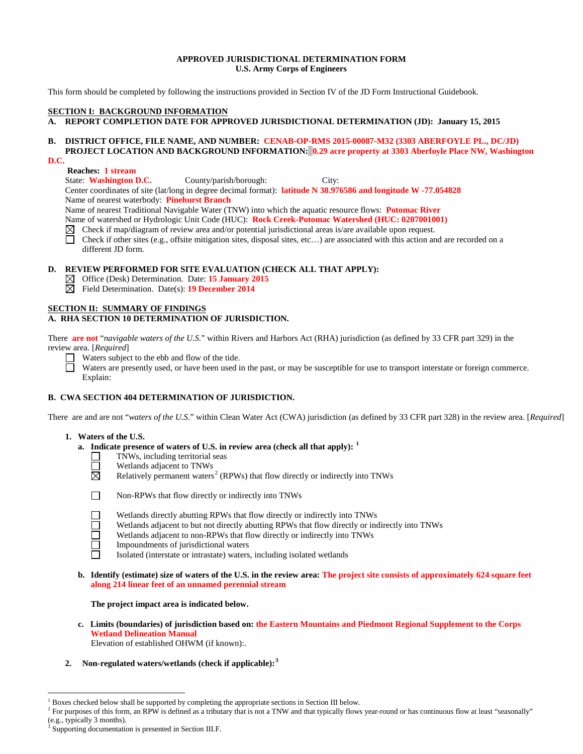## **APPROVED JURISDICTIONAL DETERMINATION FORM U.S. Army Corps of Engineers**

This form should be completed by following the instructions provided in Section IV of the JD Form Instructional Guidebook.

## **SECTION I: BACKGROUND INFORMATION**

**A. REPORT COMPLETION DATE FOR APPROVED JURISDICTIONAL DETERMINATION (JD): January 15, 2015**

# **B. DISTRICT OFFICE, FILE NAME, AND NUMBER: CENAB-OP-RMS 2015-00087-M32 (3303 ABERFOYLE PL., DC/JD) PROJECT LOCATION AND BACKGROUND INFORMATION: 0.29 acre property at 3303 Aberfoyle Place NW, Washington**

### **D.C.**

# **Reaches: 1 stream**

State: **Washington D.C.** County/parish/borough: City: Center coordinates of site (lat/long in degree decimal format): **latitude N 38.976586 and longitude W -77.054828** Name of nearest waterbody: **Pinehurst Branch**

Name of nearest Traditional Navigable Water (TNW) into which the aquatic resource flows: **Potomac River**

Name of watershed or Hydrologic Unit Code (HUC): **Rock Creek-Potomac Watershed (HUC: 0207001001)**<br>⊠ Check if map/diagram of review area and/or potential jurisdictional areas is/are available upon request.

- Check if map/diagram of review area and/or potential jurisdictional areas is/are available upon request.
- П Check if other sites (e.g., offsite mitigation sites, disposal sites, etc…) are associated with this action and are recorded on a different JD form.

## **D. REVIEW PERFORMED FOR SITE EVALUATION (CHECK ALL THAT APPLY):**

- Office (Desk) Determination. Date: **15 January 2015** ⊠
- ⊠ Field Determination. Date(s): **19 December 2014**

## **SECTION II: SUMMARY OF FINDINGS**

# **A. RHA SECTION 10 DETERMINATION OF JURISDICTION.**

There **are not** "*navigable waters of the U.S.*" within Rivers and Harbors Act (RHA) jurisdiction (as defined by 33 CFR part 329) in the review area. [*Required*]

Waters subject to the ebb and flow of the tide.

П Waters are presently used, or have been used in the past, or may be susceptible for use to transport interstate or foreign commerce. Explain:

# **B. CWA SECTION 404 DETERMINATION OF JURISDICTION.**

There are and are not "*waters of the U.S.*" within Clean Water Act (CWA) jurisdiction (as defined by 33 CFR part 328) in the review area. [*Required*]

### **1. Waters of the U.S.**

- **a. Indicate presence of waters of U.S. in review area (check all that apply): [1](#page-0-0)**
	- TNWs, including territorial seas
	- Wetlands adjacent to TNWs
	- Relatively permanent waters<sup>[2](#page-0-1)</sup> (RPWs) that flow directly or indirectly into TNWs



 $\Box$ П ⊠

Non-RPWs that flow directly or indirectly into TNWs

- Wetlands directly abutting RPWs that flow directly or indirectly into TNWs
- Wetlands adjacent to but not directly abutting RPWs that flow directly or indirectly into TNWs
- Wetlands adjacent to non-RPWs that flow directly or indirectly into TNWs
- Impoundments of jurisdictional waters
- Isolated (interstate or intrastate) waters, including isolated wetlands
- **b. Identify (estimate) size of waters of the U.S. in the review area: The project site consists of approximately 624 square feet along 214 linear feet of an unnamed perennial stream**

**The project impact area is indicated below.**

**c. Limits (boundaries) of jurisdiction based on: the Eastern Mountains and Piedmont Regional Supplement to the Corps Wetland Delineation Manual**

Elevation of established OHWM (if known):.

**2. Non-regulated waters/wetlands (check if applicable): [3](#page-0-2)**

<span id="page-0-0"></span> <sup>1</sup> Boxes checked below shall be supported by completing the appropriate sections in Section III below.

<span id="page-0-1"></span><sup>&</sup>lt;sup>2</sup> For purposes of this form, an RPW is defined as a tributary that is not a TNW and that typically flows year-round or has continuous flow at least "seasonally" (e.g., typically 3 months).

<span id="page-0-2"></span>Supporting documentation is presented in Section III.F.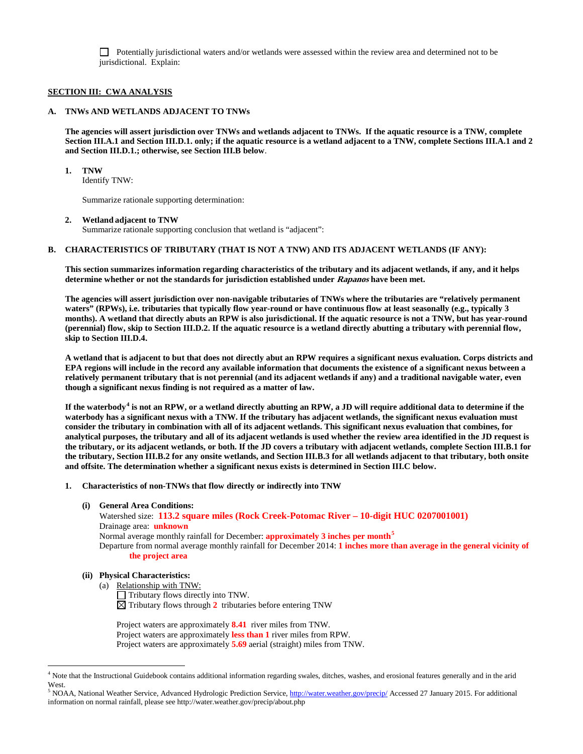Potentially jurisdictional waters and/or wetlands were assessed within the review area and determined not to be jurisdictional. Explain:

### **SECTION III: CWA ANALYSIS**

### **A. TNWs AND WETLANDS ADJACENT TO TNWs**

**The agencies will assert jurisdiction over TNWs and wetlands adjacent to TNWs. If the aquatic resource is a TNW, complete Section III.A.1 and Section III.D.1. only; if the aquatic resource is a wetland adjacent to a TNW, complete Sections III.A.1 and 2 and Section III.D.1.; otherwise, see Section III.B below**.

#### **1. TNW**

Identify TNW:

Summarize rationale supporting determination:

## **2. Wetland adjacent to TNW**

Summarize rationale supporting conclusion that wetland is "adjacent":

## **B. CHARACTERISTICS OF TRIBUTARY (THAT IS NOT A TNW) AND ITS ADJACENT WETLANDS (IF ANY):**

**This section summarizes information regarding characteristics of the tributary and its adjacent wetlands, if any, and it helps determine whether or not the standards for jurisdiction established under Rapanos have been met.** 

**The agencies will assert jurisdiction over non-navigable tributaries of TNWs where the tributaries are "relatively permanent waters" (RPWs), i.e. tributaries that typically flow year-round or have continuous flow at least seasonally (e.g., typically 3 months). A wetland that directly abuts an RPW is also jurisdictional. If the aquatic resource is not a TNW, but has year-round (perennial) flow, skip to Section III.D.2. If the aquatic resource is a wetland directly abutting a tributary with perennial flow, skip to Section III.D.4.**

**A wetland that is adjacent to but that does not directly abut an RPW requires a significant nexus evaluation. Corps districts and EPA regions will include in the record any available information that documents the existence of a significant nexus between a relatively permanent tributary that is not perennial (and its adjacent wetlands if any) and a traditional navigable water, even though a significant nexus finding is not required as a matter of law.**

**If the waterbody[4](#page-1-0) is not an RPW, or a wetland directly abutting an RPW, a JD will require additional data to determine if the waterbody has a significant nexus with a TNW. If the tributary has adjacent wetlands, the significant nexus evaluation must consider the tributary in combination with all of its adjacent wetlands. This significant nexus evaluation that combines, for analytical purposes, the tributary and all of its adjacent wetlands is used whether the review area identified in the JD request is the tributary, or its adjacent wetlands, or both. If the JD covers a tributary with adjacent wetlands, complete Section III.B.1 for the tributary, Section III.B.2 for any onsite wetlands, and Section III.B.3 for all wetlands adjacent to that tributary, both onsite and offsite. The determination whether a significant nexus exists is determined in Section III.C below.**

- **1. Characteristics of non-TNWs that flow directly or indirectly into TNW**
	- **(i) General Area Conditions:**

 Watershed size: **113.2 square miles (Rock Creek-Potomac River – 10-digit HUC 0207001001)** Drainage area: **unknown** Normal average monthly rainfall for December: **approximately 3 inches per month[5](#page-1-1)**

Departure from normal average monthly rainfall for December 2014: **1 inches more than average in the general vicinity of** 

# **the project area**

## **(ii) Physical Characteristics:**

(a) Relationship with TNW:

 $\Box$  Tributary flows directly into TNW.

 $\boxtimes$  Tributary flows through 2 tributaries before entering TNW

Project waters are approximately **8.41** river miles from TNW. Project waters are approximately **less than 1** river miles from RPW. Project waters are approximately **5.69** aerial (straight) miles from TNW.

<span id="page-1-0"></span><sup>&</sup>lt;sup>4</sup> Note that the Instructional Guidebook contains additional information regarding swales, ditches, washes, and erosional features generally and in the arid **West** 

<span id="page-1-1"></span><sup>5</sup> NOAA, National Weather Service, Advanced Hydrologic Prediction Service[, http://water.weather.gov/precip/](http://water.weather.gov/precip/) Accessed 27 January 2015. For additional information on normal rainfall, please see http://water.weather.gov/precip/about.php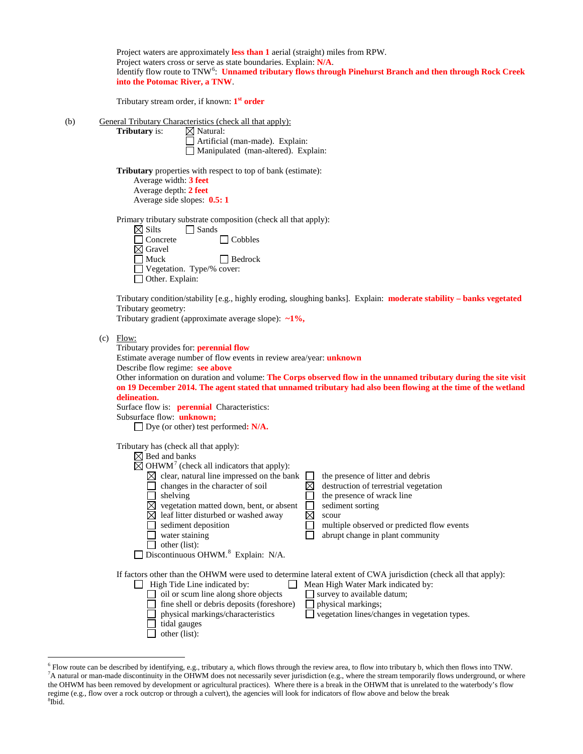|     |                                                                                                                                                                                                                                                                                                                                                                                                                                                                                                                                                                                                                                                                                                                                                                                     | Project waters are approximately less than 1 aerial (straight) miles from RPW.<br>Project waters cross or serve as state boundaries. Explain: N/A.<br>Identify flow route to TNW <sup>6</sup> : Unnamed tributary flows through Pinehurst Branch and then through Rock Creek<br>into the Potomac River, a TNW |                                                                                                                                                                                                                                                                                                                                                        |                            |                                                                                                                                                                                                                                                             |  |  |  |
|-----|-------------------------------------------------------------------------------------------------------------------------------------------------------------------------------------------------------------------------------------------------------------------------------------------------------------------------------------------------------------------------------------------------------------------------------------------------------------------------------------------------------------------------------------------------------------------------------------------------------------------------------------------------------------------------------------------------------------------------------------------------------------------------------------|---------------------------------------------------------------------------------------------------------------------------------------------------------------------------------------------------------------------------------------------------------------------------------------------------------------|--------------------------------------------------------------------------------------------------------------------------------------------------------------------------------------------------------------------------------------------------------------------------------------------------------------------------------------------------------|----------------------------|-------------------------------------------------------------------------------------------------------------------------------------------------------------------------------------------------------------------------------------------------------------|--|--|--|
|     |                                                                                                                                                                                                                                                                                                                                                                                                                                                                                                                                                                                                                                                                                                                                                                                     | Tributary stream order, if known: 1 <sup>st</sup> order                                                                                                                                                                                                                                                       |                                                                                                                                                                                                                                                                                                                                                        |                            |                                                                                                                                                                                                                                                             |  |  |  |
| (b) |                                                                                                                                                                                                                                                                                                                                                                                                                                                                                                                                                                                                                                                                                                                                                                                     | Tributary is:                                                                                                                                                                                                                                                                                                 | General Tributary Characteristics (check all that apply):<br>$\boxtimes$ Natural:<br>Artificial (man-made). Explain:<br>Manipulated (man-altered). Explain:                                                                                                                                                                                            |                            |                                                                                                                                                                                                                                                             |  |  |  |
|     |                                                                                                                                                                                                                                                                                                                                                                                                                                                                                                                                                                                                                                                                                                                                                                                     | <b>Tributary</b> properties with respect to top of bank (estimate):<br>Average width: 3 feet<br>Average depth: 2 feet<br>Average side slopes: 0.5:1                                                                                                                                                           |                                                                                                                                                                                                                                                                                                                                                        |                            |                                                                                                                                                                                                                                                             |  |  |  |
|     |                                                                                                                                                                                                                                                                                                                                                                                                                                                                                                                                                                                                                                                                                                                                                                                     | Primary tributary substrate composition (check all that apply):<br>$\boxtimes$ Silts<br>$\Box$ Sands<br>Concrete<br>Cobbles<br>$\boxtimes$ Gravel<br>$\Box$ Muck<br>$\Box$ Bedrock<br>Vegetation. Type/% cover:<br>□ Other. Explain:                                                                          |                                                                                                                                                                                                                                                                                                                                                        |                            |                                                                                                                                                                                                                                                             |  |  |  |
|     | Tributary condition/stability [e.g., highly eroding, sloughing banks]. Explain: moderate stability - banks vegetated<br>Tributary geometry:<br>Tributary gradient (approximate average slope): $\sim 1\%$ ,<br>Flow:<br>(c)<br>Tributary provides for: <b>perennial flow</b><br>Estimate average number of flow events in review area/year: <i>unknown</i><br>Describe flow regime: see above<br>Other information on duration and volume: The Corps observed flow in the unnamed tributary during the site visit<br>on 19 December 2014. The agent stated that unnamed tributary had also been flowing at the time of the wetland<br>delineation.<br>Surface flow is: <b>perennial</b> Characteristics:<br>Subsurface flow: unknown;<br>$\Box$ Dye (or other) test performed: N/A. |                                                                                                                                                                                                                                                                                                               |                                                                                                                                                                                                                                                                                                                                                        |                            |                                                                                                                                                                                                                                                             |  |  |  |
|     |                                                                                                                                                                                                                                                                                                                                                                                                                                                                                                                                                                                                                                                                                                                                                                                     |                                                                                                                                                                                                                                                                                                               |                                                                                                                                                                                                                                                                                                                                                        |                            |                                                                                                                                                                                                                                                             |  |  |  |
|     |                                                                                                                                                                                                                                                                                                                                                                                                                                                                                                                                                                                                                                                                                                                                                                                     | Tributary has (check all that apply):<br>$\boxtimes$ Bed and banks<br>shelving<br>other (list):                                                                                                                                                                                                               | $\overline{\boxtimes}$ OHWM <sup>7</sup> (check all indicators that apply):<br>$\boxtimes$ clear, natural line impressed on the bank<br>changes in the character of soil<br>vegetation matted down, bent, or absent<br>leaf litter disturbed or washed away<br>sediment deposition<br>water staining<br>Discontinuous OHWM. <sup>8</sup> Explain: N/A. | $\boxtimes$<br>$\boxtimes$ | the presence of litter and debris<br>destruction of terrestrial vegetation<br>the presence of wrack line<br>sediment sorting<br>scour<br>multiple observed or predicted flow events<br>abrupt change in plant community                                     |  |  |  |
|     |                                                                                                                                                                                                                                                                                                                                                                                                                                                                                                                                                                                                                                                                                                                                                                                     | other (list):                                                                                                                                                                                                                                                                                                 | High Tide Line indicated by:<br>oil or scum line along shore objects<br>fine shell or debris deposits (foreshore)<br>physical markings/characteristics<br>tidal gauges                                                                                                                                                                                 |                            | If factors other than the OHWM were used to determine lateral extent of CWA jurisdiction (check all that apply):<br>Mean High Water Mark indicated by:<br>survey to available datum;<br>physical markings;<br>vegetation lines/changes in vegetation types. |  |  |  |

<span id="page-2-2"></span><span id="page-2-1"></span><span id="page-2-0"></span><sup>&</sup>lt;sup>6</sup> Flow route can be described by identifying, e.g., tributary a, which flows through the review area, to flow into tributary b, which then flows into TNW.<br><sup>7</sup>A natural or man-made discontinuity in the OHWM does not neces the OHWM has been removed by development or agricultural practices). Where there is a break in the OHWM that is unrelated to the waterbody's flow regime (e.g., flow over a rock outcrop or through a culvert), the agencies will look for indicators of flow above and below the break <sup>8</sup>  $8\tilde{I}$ bid.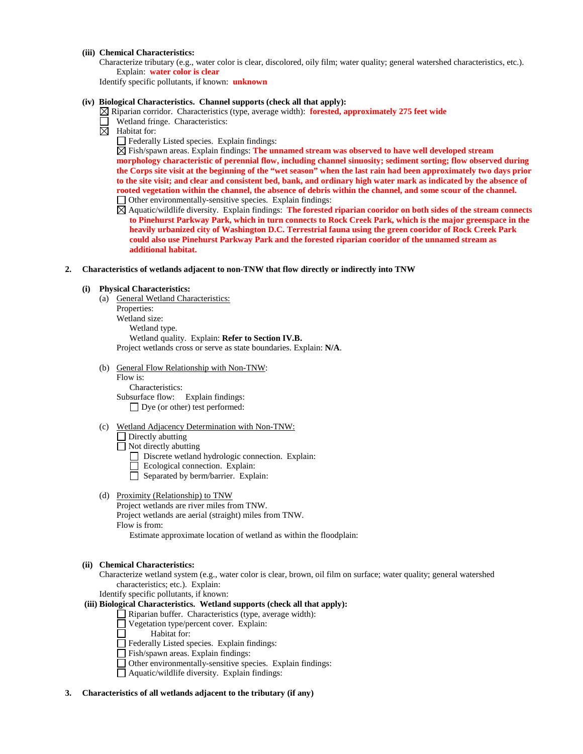## **(iii) Chemical Characteristics:**

Characterize tributary (e.g., water color is clear, discolored, oily film; water quality; general watershed characteristics, etc.). Explain: **water color is clear** 

Identify specific pollutants, if known: **unknown**

#### **(iv) Biological Characteristics. Channel supports (check all that apply):**

Riparian corridor. Characteristics (type, average width): **forested, approximately 275 feet wide** 

- Wetland fringe. Characteristics:
- $\boxtimes$  Habitat for:
	- Federally Listed species. Explain findings:

Fish/spawn areas. Explain findings: **The unnamed stream was observed to have well developed stream morphology characteristic of perennial flow, including channel sinuosity; sediment sorting; flow observed during the Corps site visit at the beginning of the "wet season" when the last rain had been approximately two days prior to the site visit; and clear and consistent bed, bank, and ordinary high water mark as indicated by the absence of rooted vegetation within the channel, the absence of debris within the channel, and some scour of the channel.**  Other environmentally-sensitive species. Explain findings:

- Aquatic/wildlife diversity. Explain findings: **The forested riparian cooridor on both sides of the stream connects to Pinehurst Parkway Park, which in turn connects to Rock Creek Park, which is the major greenspace in the heavily urbanized city of Washington D.C. Terrestrial fauna using the green cooridor of Rock Creek Park could also use Pinehurst Parkway Park and the forested riparian cooridor of the unnamed stream as additional habitat.**
- **2. Characteristics of wetlands adjacent to non-TNW that flow directly or indirectly into TNW**

## **(i) Physical Characteristics:**

- (a) General Wetland Characteristics: Properties: Wetland size: Wetland type. Wetland quality. Explain: **Refer to Section IV.B.** Project wetlands cross or serve as state boundaries. Explain: **N/A**.
- (b) General Flow Relationship with Non-TNW:

Flow is: Characteristics: Subsurface flow:Explain findings: Dye (or other) test performed:

(c) Wetland Adjacency Determination with Non-TNW:

Directly abutting  $\Box$  Not directly abutting

- Discrete wetland hydrologic connection. Explain:
- Ecological connection. Explain:
- Separated by berm/barrier. Explain:
- (d) Proximity (Relationship) to TNW

Project wetlands are river miles from TNW. Project wetlands are aerial (straight) miles from TNW. Flow is from: Estimate approximate location of wetland as within the floodplain:

#### **(ii) Chemical Characteristics:**

Characterize wetland system (e.g., water color is clear, brown, oil film on surface; water quality; general watershed characteristics; etc.). Explain:

Identify specific pollutants, if known:

## **(iii) Biological Characteristics. Wetland supports (check all that apply):**

Riparian buffer. Characteristics (type, average width):

- Vegetation type/percent cover. Explain:
- Habitat for:

Federally Listed species. Explain findings:

- Fish/spawn areas. Explain findings:
- Other environmentally-sensitive species. Explain findings:
- Aquatic/wildlife diversity. Explain findings:

#### **3. Characteristics of all wetlands adjacent to the tributary (if any)**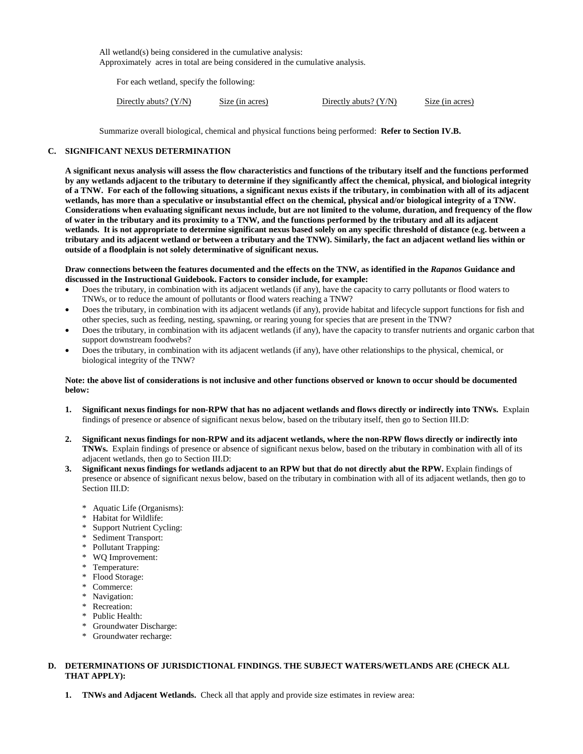All wetland(s) being considered in the cumulative analysis: Approximately acres in total are being considered in the cumulative analysis.

For each wetland, specify the following:

| Directly abuts? $(Y/N)$ | Size (in acres) | Directly abuts? $(Y/N)$ | Size (in acres) |
|-------------------------|-----------------|-------------------------|-----------------|
|-------------------------|-----------------|-------------------------|-----------------|

Summarize overall biological, chemical and physical functions being performed: **Refer to Section IV.B.**

## **C. SIGNIFICANT NEXUS DETERMINATION**

**A significant nexus analysis will assess the flow characteristics and functions of the tributary itself and the functions performed by any wetlands adjacent to the tributary to determine if they significantly affect the chemical, physical, and biological integrity of a TNW. For each of the following situations, a significant nexus exists if the tributary, in combination with all of its adjacent wetlands, has more than a speculative or insubstantial effect on the chemical, physical and/or biological integrity of a TNW. Considerations when evaluating significant nexus include, but are not limited to the volume, duration, and frequency of the flow of water in the tributary and its proximity to a TNW, and the functions performed by the tributary and all its adjacent wetlands. It is not appropriate to determine significant nexus based solely on any specific threshold of distance (e.g. between a tributary and its adjacent wetland or between a tributary and the TNW). Similarly, the fact an adjacent wetland lies within or outside of a floodplain is not solely determinative of significant nexus.** 

### **Draw connections between the features documented and the effects on the TNW, as identified in the** *Rapanos* **Guidance and discussed in the Instructional Guidebook. Factors to consider include, for example:**

- Does the tributary, in combination with its adjacent wetlands (if any), have the capacity to carry pollutants or flood waters to TNWs, or to reduce the amount of pollutants or flood waters reaching a TNW?
- Does the tributary, in combination with its adjacent wetlands (if any), provide habitat and lifecycle support functions for fish and other species, such as feeding, nesting, spawning, or rearing young for species that are present in the TNW?
- Does the tributary, in combination with its adjacent wetlands (if any), have the capacity to transfer nutrients and organic carbon that support downstream foodwebs?
- Does the tributary, in combination with its adjacent wetlands (if any), have other relationships to the physical, chemical, or biological integrity of the TNW?

## **Note: the above list of considerations is not inclusive and other functions observed or known to occur should be documented below:**

- **1. Significant nexus findings for non-RPW that has no adjacent wetlands and flows directly or indirectly into TNWs.** Explain findings of presence or absence of significant nexus below, based on the tributary itself, then go to Section III.D:
- **2. Significant nexus findings for non-RPW and its adjacent wetlands, where the non-RPW flows directly or indirectly into TNWs.** Explain findings of presence or absence of significant nexus below, based on the tributary in combination with all of its adjacent wetlands, then go to Section III.D:
- **3. Significant nexus findings for wetlands adjacent to an RPW but that do not directly abut the RPW.** Explain findings of presence or absence of significant nexus below, based on the tributary in combination with all of its adjacent wetlands, then go to Section III.D:
	- \* Aquatic Life (Organisms):
	- \* Habitat for Wildlife:
	- \* Support Nutrient Cycling:
	- \* Sediment Transport:
	- \* Pollutant Trapping:
	- \* WQ Improvement:
	- \* Temperature:
	- \* Flood Storage:
	- \* Commerce:
	- \* Navigation:
	- \* Recreation:
	- \* Public Health:
	- \* Groundwater Discharge:
	- \* Groundwater recharge:

# **D. DETERMINATIONS OF JURISDICTIONAL FINDINGS. THE SUBJECT WATERS/WETLANDS ARE (CHECK ALL THAT APPLY):**

**1. TNWs and Adjacent Wetlands.** Check all that apply and provide size estimates in review area: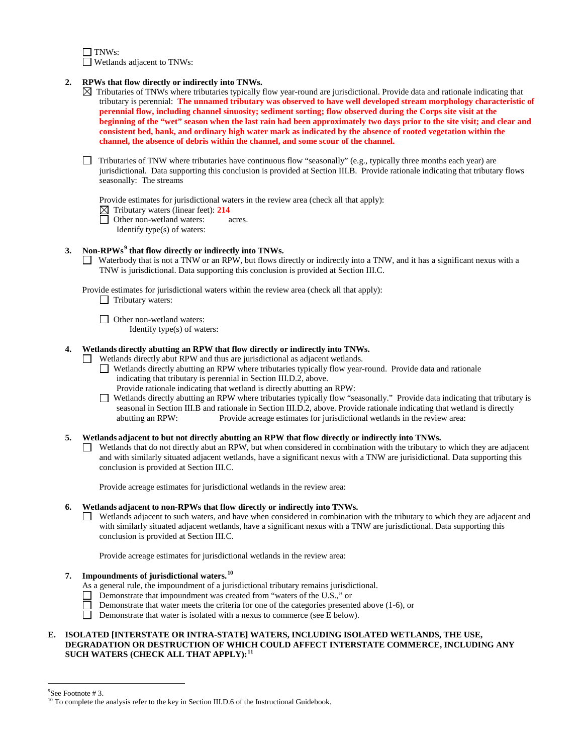$\exists$  TNWs: Wetlands adjacent to TNWs:

- **2. RPWs that flow directly or indirectly into TNWs.**
	- $\boxtimes$  Tributaries of TNWs where tributaries typically flow year-round are jurisdictional. Provide data and rationale indicating that tributary is perennial: **The unnamed tributary was observed to have well developed stream morphology characteristic of perennial flow, including channel sinuosity; sediment sorting; flow observed during the Corps site visit at the beginning of the "wet" season when the last rain had been approximately two days prior to the site visit; and clear and consistent bed, bank, and ordinary high water mark as indicated by the absence of rooted vegetation within the channel, the absence of debris within the channel, and some scour of the channel.**
	- $\Box$  Tributaries of TNW where tributaries have continuous flow "seasonally" (e.g., typically three months each year) are jurisdictional. Data supporting this conclusion is provided at Section III.B. Provide rationale indicating that tributary flows seasonally: The streams

Provide estimates for jurisdictional waters in the review area (check all that apply):

 $\boxtimes$  Tributary waters (linear feet): **214**<br>  $\Box$  Other non-wetland waters:

Other non-wetland waters: acres.

Identify type(s) of waters:

# **3. Non-RPWs[9](#page-5-0) that flow directly or indirectly into TNWs.**

Waterbody that is not a TNW or an RPW, but flows directly or indirectly into a TNW, and it has a significant nexus with a TNW is jurisdictional. Data supporting this conclusion is provided at Section III.C.

Provide estimates for jurisdictional waters within the review area (check all that apply):

- $\Box$  Tributary waters:
- □ Other non-wetland waters:
	- Identify type(s) of waters:

### **4. Wetlands directly abutting an RPW that flow directly or indirectly into TNWs.**

- Wetlands directly abut RPW and thus are jurisdictional as adjacent wetlands.
	- Wetlands directly abutting an RPW where tributaries typically flow year-round. Provide data and rationale indicating that tributary is perennial in Section III.D.2, above.
		- Provide rationale indicating that wetland is directly abutting an RPW:
	- Wetlands directly abutting an RPW where tributaries typically flow "seasonally." Provide data indicating that tributary is seasonal in Section III.B and rationale in Section III.D.2, above. Provide rationale indicating that wetland is directly abutting an RPW: Provide acreage estimates for jurisdictional wetlands in the review area: Provide acreage estimates for jurisdictional wetlands in the review area:

### **5. Wetlands adjacent to but not directly abutting an RPW that flow directly or indirectly into TNWs.**

Wetlands that do not directly abut an RPW, but when considered in combination with the tributary to which they are adjacent and with similarly situated adjacent wetlands, have a significant nexus with a TNW are jurisidictional. Data supporting this conclusion is provided at Section III.C.

Provide acreage estimates for jurisdictional wetlands in the review area:

## **6. Wetlands adjacent to non-RPWs that flow directly or indirectly into TNWs.**

Wetlands adjacent to such waters, and have when considered in combination with the tributary to which they are adjacent and with similarly situated adjacent wetlands, have a significant nexus with a TNW are jurisdictional. Data supporting this conclusion is provided at Section III.C.

Provide acreage estimates for jurisdictional wetlands in the review area:

# **7. Impoundments of jurisdictional waters.[10](#page-5-1)**

As a general rule, the impoundment of a jurisdictional tributary remains jurisdictional.

- Demonstrate that impoundment was created from "waters of the U.S.," or
- $\Box$ Demonstrate that water meets the criteria for one of the categories presented above (1-6), or
- Demonstrate that water is isolated with a nexus to commerce (see  $E$  below).

## **E. ISOLATED [INTERSTATE OR INTRA-STATE] WATERS, INCLUDING ISOLATED WETLANDS, THE USE, DEGRADATION OR DESTRUCTION OF WHICH COULD AFFECT INTERSTATE COMMERCE, INCLUDING ANY SUCH WATERS (CHECK ALL THAT APPLY):[11](#page-5-2)**

<span id="page-5-2"></span>-<br>9

<span id="page-5-1"></span><span id="page-5-0"></span>See Footnote # 3.<br><sup>10</sup> To complete the analysis refer to the key in Section III.D.6 of the Instructional Guidebook.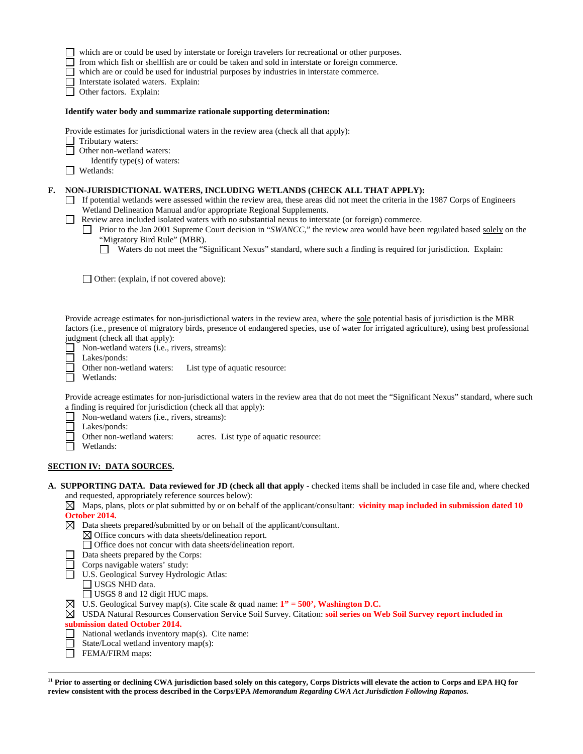which are or could be used by interstate or foreign travelers for recreational or other purposes.

from which fish or shellfish are or could be taken and sold in interstate or foreign commerce.

which are or could be used for industrial purposes by industries in interstate commerce.

Interstate isolated waters. Explain:

Other factors.Explain:

### **Identify water body and summarize rationale supporting determination:**

Provide estimates for jurisdictional waters in the review area (check all that apply):

 Tributary waters:  $\Box$ 

Other non-wetland waters:

Identify type(s) of waters:

Wetlands:

### **F. NON-JURISDICTIONAL WATERS, INCLUDING WETLANDS (CHECK ALL THAT APPLY):**

- $\Box$  If potential wetlands were assessed within the review area, these areas did not meet the criteria in the 1987 Corps of Engineers Wetland Delineation Manual and/or appropriate Regional Supplements.
- Review area included isolated waters with no substantial nexus to interstate (or foreign) commerce.
	- Prior to the Jan 2001 Supreme Court decision in "*SWANCC*," the review area would have been regulated based solely on the "Migratory Bird Rule" (MBR).
		- Waters do not meet the "Significant Nexus" standard, where such a finding is required for jurisdiction. Explain:

□ Other: (explain, if not covered above):

Provide acreage estimates for non-jurisdictional waters in the review area, where the sole potential basis of jurisdiction is the MBR factors (i.e., presence of migratory birds, presence of endangered species, use of water for irrigated agriculture), using best professional judgment (check all that apply):

□ Non-wetland waters (i.e., rivers, streams):

Lakes/ponds:

 $\Box$ 

Other non-wetland waters: List type of aquatic resource:

□ Wetlands:

Provide acreage estimates for non-jurisdictional waters in the review area that do not meet the "Significant Nexus" standard, where such a finding is required for jurisdiction (check all that apply):

 $\Box$ Non-wetland waters (i.e., rivers, streams):

- П Lakes/ponds:
	- Other non-wetland waters: acres. List type of aquatic resource:
- П Wetlands:

# **SECTION IV: DATA SOURCES.**

**A. SUPPORTING DATA. Data reviewed for JD (check all that apply -** checked items shall be included in case file and, where checked and requested, appropriately reference sources below):

 $\boxtimes$  Maps, plans, plots or plat submitted by or on behalf of the applicant/consultant: **vicinity map included in submission dated 10 October 2014.**

- $\boxtimes$  Data sheets prepared/submitted by or on behalf of the applicant/consultant.
	- $\boxtimes$  Office concurs with data sheets/delineation report.
		- Office does not concur with data sheets/delineation report.
- Data sheets prepared by the Corps:
- Corps navigable waters' study:
- U.S. Geological Survey Hydrologic Atlas:
	- USGS NHD data.
- □ USGS 8 and 12 digit HUC maps.
- U.S. Geological Survey map(s). Cite scale & quad name: **1" = 500', Washington D.C.**

USDA Natural Resources Conservation Service Soil Survey. Citation: **soil series on Web Soil Survey report included in submission dated October 2014.**

- $\Box$  National wetlands inventory map(s). Cite name:
- State/Local wetland inventory map(s):
- **FEMA/FIRM** maps:

 $\overline{a}$ **<sup>11</sup> Prior to asserting or declining CWA jurisdiction based solely on this category, Corps Districts will elevate the action to Corps and EPA HQ for review consistent with the process described in the Corps/EPA** *Memorandum Regarding CWA Act Jurisdiction Following Rapanos.*